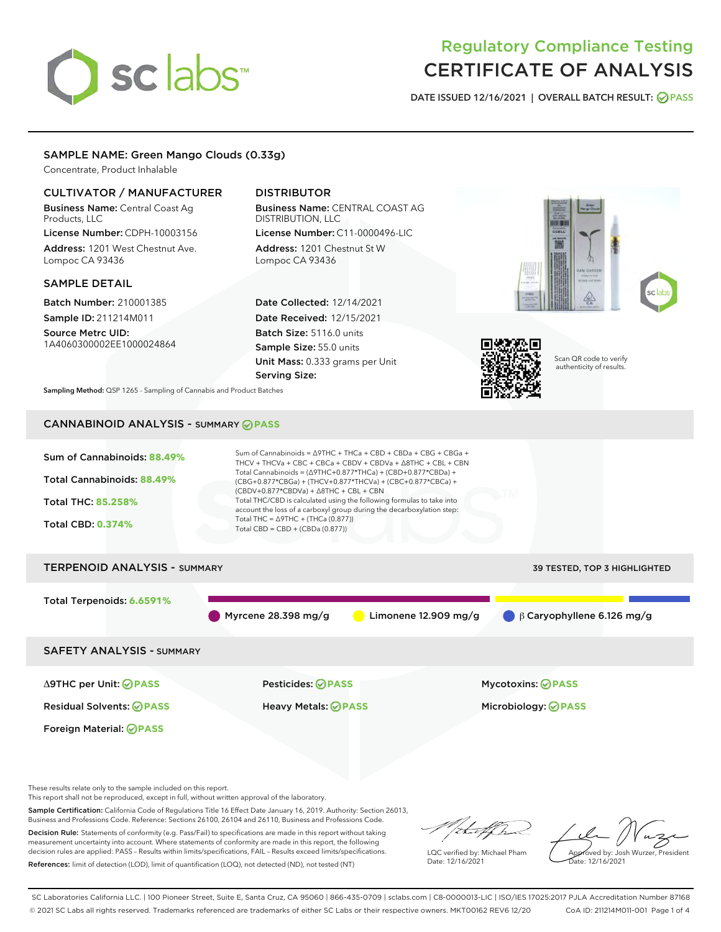# sclabs

# Regulatory Compliance Testing CERTIFICATE OF ANALYSIS

DATE ISSUED 12/16/2021 | OVERALL BATCH RESULT: @ PASS

# SAMPLE NAME: Green Mango Clouds (0.33g)

Concentrate, Product Inhalable

# CULTIVATOR / MANUFACTURER

Business Name: Central Coast Ag Products, LLC

License Number: CDPH-10003156 Address: 1201 West Chestnut Ave. Lompoc CA 93436

# SAMPLE DETAIL

Batch Number: 210001385 Sample ID: 211214M011

Source Metrc UID: 1A4060300002EE1000024864

# DISTRIBUTOR

Business Name: CENTRAL COAST AG DISTRIBUTION, LLC License Number: C11-0000496-LIC

Address: 1201 Chestnut St W Lompoc CA 93436

Date Collected: 12/14/2021 Date Received: 12/15/2021 Batch Size: 5116.0 units Sample Size: 55.0 units Unit Mass: 0.333 grams per Unit Serving Size:





Scan QR code to verify authenticity of results.

Sampling Method: QSP 1265 - Sampling of Cannabis and Product Batches

# CANNABINOID ANALYSIS - SUMMARY **PASS**



These results relate only to the sample included on this report.

This report shall not be reproduced, except in full, without written approval of the laboratory.

Sample Certification: California Code of Regulations Title 16 Effect Date January 16, 2019. Authority: Section 26013, Business and Professions Code. Reference: Sections 26100, 26104 and 26110, Business and Professions Code.

Decision Rule: Statements of conformity (e.g. Pass/Fail) to specifications are made in this report without taking measurement uncertainty into account. Where statements of conformity are made in this report, the following decision rules are applied: PASS – Results within limits/specifications, FAIL – Results exceed limits/specifications. References: limit of detection (LOD), limit of quantification (LOQ), not detected (ND), not tested (NT)

that f In

LQC verified by: Michael Pham Date: 12/16/2021

Approved by: Josh Wurzer, President ate: 12/16/2021

SC Laboratories California LLC. | 100 Pioneer Street, Suite E, Santa Cruz, CA 95060 | 866-435-0709 | sclabs.com | C8-0000013-LIC | ISO/IES 17025:2017 PJLA Accreditation Number 87168 © 2021 SC Labs all rights reserved. Trademarks referenced are trademarks of either SC Labs or their respective owners. MKT00162 REV6 12/20 CoA ID: 211214M011-001 Page 1 of 4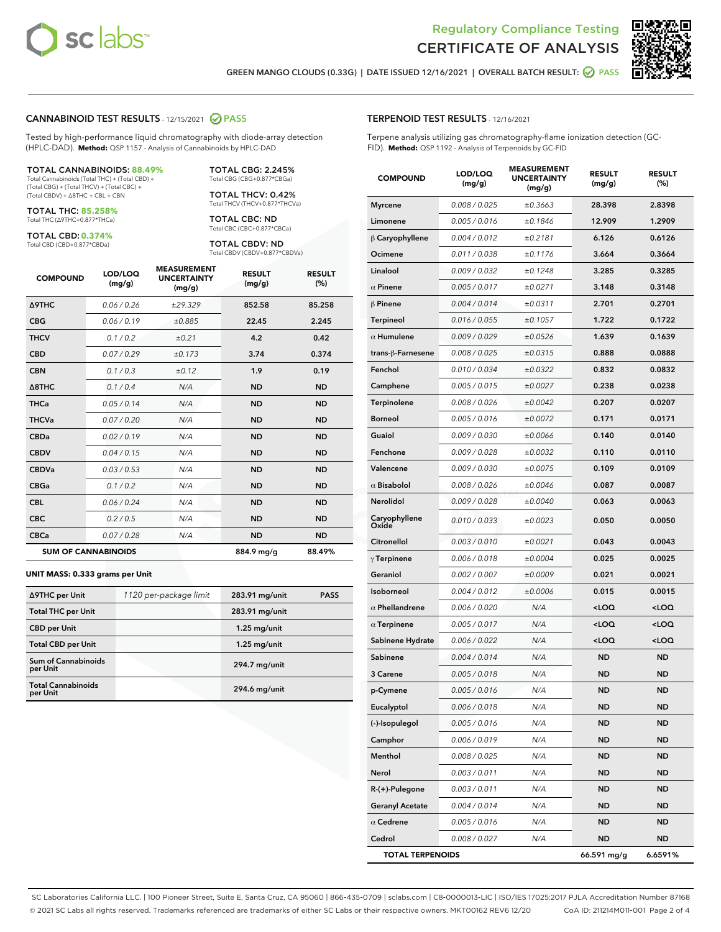



GREEN MANGO CLOUDS (0.33G) | DATE ISSUED 12/16/2021 | OVERALL BATCH RESULT: @ PASS

# CANNABINOID TEST RESULTS - 12/15/2021 2 PASS

Tested by high-performance liquid chromatography with diode-array detection (HPLC-DAD). **Method:** QSP 1157 - Analysis of Cannabinoids by HPLC-DAD

### TOTAL CANNABINOIDS: **88.49%**

Total Cannabinoids (Total THC) + (Total CBD) + (Total CBG) + (Total THCV) + (Total CBC) + (Total CBDV) + ∆8THC + CBL + CBN

TOTAL THC: **85.258%** Total THC (∆9THC+0.877\*THCa)

TOTAL CBD: **0.374%**

Total CBD (CBD+0.877\*CBDa)

TOTAL CBG: 2.245% Total CBG (CBG+0.877\*CBGa)

TOTAL THCV: 0.42% Total THCV (THCV+0.877\*THCVa)

TOTAL CBC: ND Total CBC (CBC+0.877\*CBCa)

TOTAL CBDV: ND Total CBDV (CBDV+0.877\*CBDVa)

| <b>COMPOUND</b>  | LOD/LOQ<br>(mg/g)          | <b>MEASUREMENT</b><br><b>UNCERTAINTY</b><br>(mg/g) | <b>RESULT</b><br>(mg/g) | <b>RESULT</b><br>(%) |
|------------------|----------------------------|----------------------------------------------------|-------------------------|----------------------|
| <b>A9THC</b>     | 0.06/0.26                  | ±29.329                                            | 852.58                  | 85.258               |
| <b>CBG</b>       | 0.06/0.19                  | ±0.885                                             | 22.45                   | 2.245                |
| <b>THCV</b>      | 0.1 / 0.2                  | ±0.21                                              | 4.2                     | 0.42                 |
| <b>CBD</b>       | 0.07/0.29                  | ±0.173                                             | 3.74                    | 0.374                |
| <b>CBN</b>       | 0.1/0.3                    | ±0.12                                              | 1.9                     | 0.19                 |
| $\triangle$ 8THC | 0.1/0.4                    | N/A                                                | <b>ND</b>               | <b>ND</b>            |
| <b>THCa</b>      | 0.05/0.14                  | N/A                                                | <b>ND</b>               | <b>ND</b>            |
| <b>THCVa</b>     | 0.07/0.20                  | N/A                                                | <b>ND</b>               | <b>ND</b>            |
| <b>CBDa</b>      | 0.02/0.19                  | N/A                                                | <b>ND</b>               | <b>ND</b>            |
| <b>CBDV</b>      | 0.04/0.15                  | N/A                                                | <b>ND</b>               | <b>ND</b>            |
| <b>CBDVa</b>     | 0.03/0.53                  | N/A                                                | <b>ND</b>               | <b>ND</b>            |
| <b>CBGa</b>      | 0.1 / 0.2                  | N/A                                                | <b>ND</b>               | <b>ND</b>            |
| <b>CBL</b>       | 0.06 / 0.24                | N/A                                                | <b>ND</b>               | <b>ND</b>            |
| <b>CBC</b>       | 0.2 / 0.5                  | N/A                                                | <b>ND</b>               | <b>ND</b>            |
| <b>CBCa</b>      | 0.07/0.28                  | N/A                                                | <b>ND</b>               | <b>ND</b>            |
|                  | <b>SUM OF CANNABINOIDS</b> |                                                    | 884.9 mg/g              | 88.49%               |

### **UNIT MASS: 0.333 grams per Unit**

| ∆9THC per Unit                        | 1120 per-package limit | 283.91 mg/unit | <b>PASS</b> |
|---------------------------------------|------------------------|----------------|-------------|
| <b>Total THC per Unit</b>             |                        | 283.91 mg/unit |             |
| <b>CBD per Unit</b>                   |                        | $1.25$ mg/unit |             |
| <b>Total CBD per Unit</b>             |                        | $1.25$ mg/unit |             |
| Sum of Cannabinoids<br>per Unit       |                        | 294.7 mg/unit  |             |
| <b>Total Cannabinoids</b><br>per Unit |                        | 294.6 mg/unit  |             |

| <b>COMPOUND</b>         | LOD/LOQ<br>(mg/g) | <b>MEASUREMENT</b><br><b>UNCERTAINTY</b><br>(mg/g) | <b>RESULT</b><br>(mg/g)                         | <b>RESULT</b><br>(%) |
|-------------------------|-------------------|----------------------------------------------------|-------------------------------------------------|----------------------|
| <b>Myrcene</b>          | 0.008 / 0.025     | ±0.3663                                            | 28.398                                          | 2.8398               |
| Limonene                | 0.005 / 0.016     | ±0.1846                                            | 12.909                                          | 1.2909               |
| $\beta$ Caryophyllene   | 0.004 / 0.012     | ±0.2181                                            | 6.126                                           | 0.6126               |
| Ocimene                 | 0.011 / 0.038     | ±0.1176                                            | 3.664                                           | 0.3664               |
| Linalool                | 0.009 / 0.032     | ±0.1248                                            | 3.285                                           | 0.3285               |
| $\alpha$ Pinene         | 0.005 / 0.017     | ±0.0271                                            | 3.148                                           | 0.3148               |
| $\beta$ Pinene          | 0.004 / 0.014     | ±0.0311                                            | 2.701                                           | 0.2701               |
| <b>Terpineol</b>        | 0.016 / 0.055     | ±0.1057                                            | 1.722                                           | 0.1722               |
| $\alpha$ Humulene       | 0.009 / 0.029     | ±0.0526                                            | 1.639                                           | 0.1639               |
| trans-ß-Farnesene       | 0.008 / 0.025     | ±0.0315                                            | 0.888                                           | 0.0888               |
| Fenchol                 | 0.010 / 0.034     | ±0.0322                                            | 0.832                                           | 0.0832               |
| Camphene                | 0.005 / 0.015     | ±0.0027                                            | 0.238                                           | 0.0238               |
| Terpinolene             | 0.008 / 0.026     | ±0.0042                                            | 0.207                                           | 0.0207               |
| <b>Borneol</b>          | 0.005 / 0.016     | ±0.0072                                            | 0.171                                           | 0.0171               |
| Guaiol                  | 0.009 / 0.030     | ±0.0066                                            | 0.140                                           | 0.0140               |
| Fenchone                | 0.009 / 0.028     | ±0.0032                                            | 0.110                                           | 0.0110               |
| Valencene               | 0.009 / 0.030     | ±0.0075                                            | 0.109                                           | 0.0109               |
| $\alpha$ Bisabolol      | 0.008 / 0.026     | ±0.0046                                            | 0.087                                           | 0.0087               |
| Nerolidol               | 0.009 / 0.028     | ±0.0040                                            | 0.063                                           | 0.0063               |
| Caryophyllene<br>Oxide  | 0.010 / 0.033     | ±0.0023                                            | 0.050                                           | 0.0050               |
| Citronellol             | 0.003 / 0.010     | ±0.0021                                            | 0.043                                           | 0.0043               |
| $\gamma$ Terpinene      | 0.006 / 0.018     | ±0.0004                                            | 0.025                                           | 0.0025               |
| Geraniol                | 0.002 / 0.007     | ±0.0009                                            | 0.021                                           | 0.0021               |
| Isoborneol              | 0.004 / 0.012     | ±0.0006                                            | 0.015                                           | 0.0015               |
| $\alpha$ Phellandrene   | 0.006 / 0.020     | N/A                                                | <loq< th=""><th><loq< th=""></loq<></th></loq<> | <loq< th=""></loq<>  |
| $\alpha$ Terpinene      | 0.005 / 0.017     | N/A                                                | <loq< th=""><th><loq< th=""></loq<></th></loq<> | <loq< th=""></loq<>  |
| Sabinene Hydrate        | 0.006 / 0.022     | N/A                                                | <loq< th=""><th><loq< th=""></loq<></th></loq<> | <loq< th=""></loq<>  |
| Sabinene                | 0.004 / 0.014     | N/A                                                | ND                                              | <b>ND</b>            |
| 3 Carene                | 0.005 / 0.018     | N/A                                                | ND                                              | <b>ND</b>            |
| p-Cymene                | 0.005 / 0.016     | N/A                                                | <b>ND</b>                                       | <b>ND</b>            |
| Eucalyptol              | 0.006 / 0.018     | N/A                                                | ND                                              | ND                   |
| (-)-Isopulegol          | 0.005 / 0.016     | N/A                                                | ND                                              | ND                   |
| Camphor                 | 0.006 / 0.019     | N/A                                                | ND                                              | ND                   |
| Menthol                 | 0.008 / 0.025     | N/A                                                | ND                                              | ND                   |
| Nerol                   | 0.003 / 0.011     | N/A                                                | ND                                              | ND                   |
| R-(+)-Pulegone          | 0.003 / 0.011     | N/A                                                | ND                                              | ND                   |
| <b>Geranyl Acetate</b>  | 0.004 / 0.014     | N/A                                                | ND                                              | ND                   |
| $\alpha$ Cedrene        | 0.005 / 0.016     | N/A                                                | ND                                              | ND                   |
| Cedrol                  | 0.008 / 0.027     | N/A                                                | ND                                              | ND                   |
| <b>TOTAL TERPENOIDS</b> |                   |                                                    | 66.591 mg/g                                     | 6.6591%              |

SC Laboratories California LLC. | 100 Pioneer Street, Suite E, Santa Cruz, CA 95060 | 866-435-0709 | sclabs.com | C8-0000013-LIC | ISO/IES 17025:2017 PJLA Accreditation Number 87168 © 2021 SC Labs all rights reserved. Trademarks referenced are trademarks of either SC Labs or their respective owners. MKT00162 REV6 12/20 CoA ID: 211214M011-001 Page 2 of 4

# TERPENOID TEST RESULTS - 12/16/2021

Terpene analysis utilizing gas chromatography-flame ionization detection (GC-FID). **Method:** QSP 1192 - Analysis of Terpenoids by GC-FID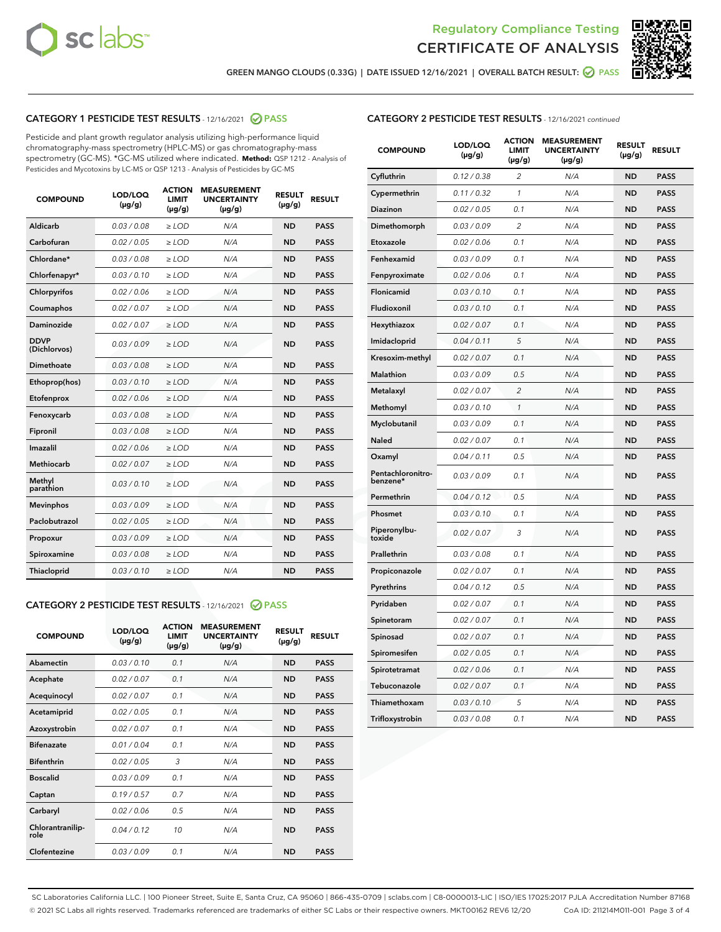



GREEN MANGO CLOUDS (0.33G) | DATE ISSUED 12/16/2021 | OVERALL BATCH RESULT: @ PASS

# CATEGORY 1 PESTICIDE TEST RESULTS - 12/16/2021 2 PASS

Pesticide and plant growth regulator analysis utilizing high-performance liquid chromatography-mass spectrometry (HPLC-MS) or gas chromatography-mass spectrometry (GC-MS). \*GC-MS utilized where indicated. **Method:** QSP 1212 - Analysis of Pesticides and Mycotoxins by LC-MS or QSP 1213 - Analysis of Pesticides by GC-MS

| <b>COMPOUND</b>             | LOD/LOQ<br>$(\mu g/g)$ | <b>ACTION</b><br><b>LIMIT</b><br>$(\mu q/q)$ | <b>MEASUREMENT</b><br><b>UNCERTAINTY</b><br>$(\mu g/g)$ | <b>RESULT</b><br>$(\mu g/g)$ | <b>RESULT</b> |
|-----------------------------|------------------------|----------------------------------------------|---------------------------------------------------------|------------------------------|---------------|
| Aldicarb                    | 0.03 / 0.08            | $\ge$ LOD                                    | N/A                                                     | <b>ND</b>                    | <b>PASS</b>   |
| Carbofuran                  | 0.02 / 0.05            | $\ge$ LOD                                    | N/A                                                     | <b>ND</b>                    | <b>PASS</b>   |
| Chlordane*                  | 0.03 / 0.08            | $\ge$ LOD                                    | N/A                                                     | <b>ND</b>                    | <b>PASS</b>   |
| Chlorfenapyr*               | 0.03/0.10              | $\ge$ LOD                                    | N/A                                                     | <b>ND</b>                    | <b>PASS</b>   |
| Chlorpyrifos                | 0.02 / 0.06            | $\ge$ LOD                                    | N/A                                                     | <b>ND</b>                    | <b>PASS</b>   |
| Coumaphos                   | 0.02 / 0.07            | $\ge$ LOD                                    | N/A                                                     | <b>ND</b>                    | <b>PASS</b>   |
| Daminozide                  | 0.02 / 0.07            | $\ge$ LOD                                    | N/A                                                     | <b>ND</b>                    | <b>PASS</b>   |
| <b>DDVP</b><br>(Dichlorvos) | 0.03/0.09              | $\ge$ LOD                                    | N/A                                                     | <b>ND</b>                    | <b>PASS</b>   |
| Dimethoate                  | 0.03 / 0.08            | $\ge$ LOD                                    | N/A                                                     | <b>ND</b>                    | <b>PASS</b>   |
| Ethoprop(hos)               | 0.03/0.10              | $\ge$ LOD                                    | N/A                                                     | <b>ND</b>                    | <b>PASS</b>   |
| Etofenprox                  | 0.02/0.06              | $>$ LOD                                      | N/A                                                     | <b>ND</b>                    | <b>PASS</b>   |
| Fenoxycarb                  | 0.03 / 0.08            | $\ge$ LOD                                    | N/A                                                     | <b>ND</b>                    | <b>PASS</b>   |
| Fipronil                    | 0.03/0.08              | $>$ LOD                                      | N/A                                                     | <b>ND</b>                    | <b>PASS</b>   |
| Imazalil                    | 0.02 / 0.06            | $\ge$ LOD                                    | N/A                                                     | <b>ND</b>                    | <b>PASS</b>   |
| Methiocarb                  | 0.02 / 0.07            | $\ge$ LOD                                    | N/A                                                     | <b>ND</b>                    | <b>PASS</b>   |
| Methyl<br>parathion         | 0.03/0.10              | $>$ LOD                                      | N/A                                                     | <b>ND</b>                    | <b>PASS</b>   |
| <b>Mevinphos</b>            | 0.03/0.09              | $>$ LOD                                      | N/A                                                     | <b>ND</b>                    | <b>PASS</b>   |
| Paclobutrazol               | 0.02 / 0.05            | $>$ LOD                                      | N/A                                                     | <b>ND</b>                    | <b>PASS</b>   |
| Propoxur                    | 0.03/0.09              | $\ge$ LOD                                    | N/A                                                     | <b>ND</b>                    | <b>PASS</b>   |
| Spiroxamine                 | 0.03 / 0.08            | $\ge$ LOD                                    | N/A                                                     | <b>ND</b>                    | <b>PASS</b>   |
| Thiacloprid                 | 0.03/0.10              | $\ge$ LOD                                    | N/A                                                     | <b>ND</b>                    | <b>PASS</b>   |

# CATEGORY 2 PESTICIDE TEST RESULTS - 12/16/2021 @ PASS

| <b>COMPOUND</b>          | LOD/LOO<br>$(\mu g/g)$ | <b>ACTION</b><br>LIMIT<br>$(\mu g/g)$ | <b>MEASUREMENT</b><br><b>UNCERTAINTY</b><br>$(\mu g/g)$ | <b>RESULT</b><br>$(\mu g/g)$ | <b>RESULT</b> |
|--------------------------|------------------------|---------------------------------------|---------------------------------------------------------|------------------------------|---------------|
| Abamectin                | 0.03/0.10              | 0.1                                   | N/A                                                     | <b>ND</b>                    | <b>PASS</b>   |
| Acephate                 | 0.02/0.07              | 0.1                                   | N/A                                                     | <b>ND</b>                    | <b>PASS</b>   |
| Acequinocyl              | 0.02/0.07              | 0.1                                   | N/A                                                     | <b>ND</b>                    | <b>PASS</b>   |
| Acetamiprid              | 0.02/0.05              | 0.1                                   | N/A                                                     | <b>ND</b>                    | <b>PASS</b>   |
| Azoxystrobin             | 0.02/0.07              | 0.1                                   | N/A                                                     | <b>ND</b>                    | <b>PASS</b>   |
| <b>Bifenazate</b>        | 0.01 / 0.04            | 0.1                                   | N/A                                                     | <b>ND</b>                    | <b>PASS</b>   |
| <b>Bifenthrin</b>        | 0.02 / 0.05            | 3                                     | N/A                                                     | <b>ND</b>                    | <b>PASS</b>   |
| <b>Boscalid</b>          | 0.03/0.09              | 0.1                                   | N/A                                                     | <b>ND</b>                    | <b>PASS</b>   |
| Captan                   | 0.19/0.57              | 0.7                                   | N/A                                                     | <b>ND</b>                    | <b>PASS</b>   |
| Carbaryl                 | 0.02/0.06              | 0.5                                   | N/A                                                     | <b>ND</b>                    | <b>PASS</b>   |
| Chlorantranilip-<br>role | 0.04/0.12              | 10                                    | N/A                                                     | <b>ND</b>                    | <b>PASS</b>   |
| Clofentezine             | 0.03/0.09              | 0.1                                   | N/A                                                     | <b>ND</b>                    | <b>PASS</b>   |

| <b>COMPOUND</b>               | LOD/LOQ<br>(µg/g) | <b>ACTION</b><br><b>LIMIT</b><br>(µg/g) | <b>MEASUREMENT</b><br><b>UNCERTAINTY</b><br>(µg/g) | <b>RESULT</b><br>(µg/g) | <b>RESULT</b> |
|-------------------------------|-------------------|-----------------------------------------|----------------------------------------------------|-------------------------|---------------|
| Cyfluthrin                    | 0.12 / 0.38       | $\overline{c}$                          | N/A                                                | <b>ND</b>               | <b>PASS</b>   |
| Cypermethrin                  | 0.11/0.32         | 1                                       | N/A                                                | <b>ND</b>               | <b>PASS</b>   |
| Diazinon                      | 0.02 / 0.05       | 0.1                                     | N/A                                                | <b>ND</b>               | <b>PASS</b>   |
| Dimethomorph                  | 0.03 / 0.09       | 2                                       | N/A                                                | <b>ND</b>               | <b>PASS</b>   |
| Etoxazole                     | 0.02 / 0.06       | 0.1                                     | N/A                                                | <b>ND</b>               | <b>PASS</b>   |
| Fenhexamid                    | 0.03 / 0.09       | 0.1                                     | N/A                                                | <b>ND</b>               | <b>PASS</b>   |
| Fenpyroximate                 | 0.02 / 0.06       | 0.1                                     | N/A                                                | <b>ND</b>               | <b>PASS</b>   |
| Flonicamid                    | 0.03 / 0.10       | 0.1                                     | N/A                                                | <b>ND</b>               | <b>PASS</b>   |
| Fludioxonil                   | 0.03 / 0.10       | 0.1                                     | N/A                                                | <b>ND</b>               | <b>PASS</b>   |
| Hexythiazox                   | 0.02 / 0.07       | 0.1                                     | N/A                                                | <b>ND</b>               | <b>PASS</b>   |
| Imidacloprid                  | 0.04 / 0.11       | 5                                       | N/A                                                | <b>ND</b>               | <b>PASS</b>   |
| Kresoxim-methyl               | 0.02 / 0.07       | 0.1                                     | N/A                                                | <b>ND</b>               | <b>PASS</b>   |
| Malathion                     | 0.03 / 0.09       | 0.5                                     | N/A                                                | <b>ND</b>               | <b>PASS</b>   |
| Metalaxyl                     | 0.02 / 0.07       | 2                                       | N/A                                                | <b>ND</b>               | <b>PASS</b>   |
| Methomyl                      | 0.03 / 0.10       | $\mathcal{I}$                           | N/A                                                | <b>ND</b>               | <b>PASS</b>   |
| Myclobutanil                  | 0.03 / 0.09       | 0.1                                     | N/A                                                | <b>ND</b>               | <b>PASS</b>   |
| Naled                         | 0.02 / 0.07       | 0.1                                     | N/A                                                | <b>ND</b>               | <b>PASS</b>   |
| Oxamyl                        | 0.04 / 0.11       | 0.5                                     | N/A                                                | <b>ND</b>               | <b>PASS</b>   |
| Pentachloronitro-<br>benzene* | 0.03 / 0.09       | 0.1                                     | N/A                                                | <b>ND</b>               | <b>PASS</b>   |
| Permethrin                    | 0.04 / 0.12       | 0.5                                     | N/A                                                | <b>ND</b>               | <b>PASS</b>   |
| Phosmet                       | 0.03 / 0.10       | 0.1                                     | N/A                                                | <b>ND</b>               | <b>PASS</b>   |
| Piperonylbu-<br>toxide        | 0.02 / 0.07       | 3                                       | N/A                                                | <b>ND</b>               | <b>PASS</b>   |
| Prallethrin                   | 0.03 / 0.08       | 0.1                                     | N/A                                                | <b>ND</b>               | <b>PASS</b>   |
| Propiconazole                 | 0.02 / 0.07       | 0.1                                     | N/A                                                | <b>ND</b>               | <b>PASS</b>   |
| Pyrethrins                    | 0.04 / 0.12       | 0.5                                     | N/A                                                | <b>ND</b>               | <b>PASS</b>   |
| Pyridaben                     | 0.02 / 0.07       | 0.1                                     | N/A                                                | <b>ND</b>               | <b>PASS</b>   |
| Spinetoram                    | 0.02 / 0.07       | 0.1                                     | N/A                                                | <b>ND</b>               | <b>PASS</b>   |
| Spinosad                      | 0.02 / 0.07       | 0.1                                     | N/A                                                | <b>ND</b>               | <b>PASS</b>   |
| Spiromesifen                  | 0.02 / 0.05       | 0.1                                     | N/A                                                | <b>ND</b>               | <b>PASS</b>   |
| Spirotetramat                 | 0.02 / 0.06       | 0.1                                     | N/A                                                | ND                      | <b>PASS</b>   |
| Tebuconazole                  | 0.02 / 0.07       | 0.1                                     | N/A                                                | <b>ND</b>               | <b>PASS</b>   |
| Thiamethoxam                  | 0.03 / 0.10       | 5                                       | N/A                                                | <b>ND</b>               | <b>PASS</b>   |
| Trifloxystrobin               | 0.03 / 0.08       | 0.1                                     | N/A                                                | <b>ND</b>               | <b>PASS</b>   |

SC Laboratories California LLC. | 100 Pioneer Street, Suite E, Santa Cruz, CA 95060 | 866-435-0709 | sclabs.com | C8-0000013-LIC | ISO/IES 17025:2017 PJLA Accreditation Number 87168 © 2021 SC Labs all rights reserved. Trademarks referenced are trademarks of either SC Labs or their respective owners. MKT00162 REV6 12/20 CoA ID: 211214M011-001 Page 3 of 4